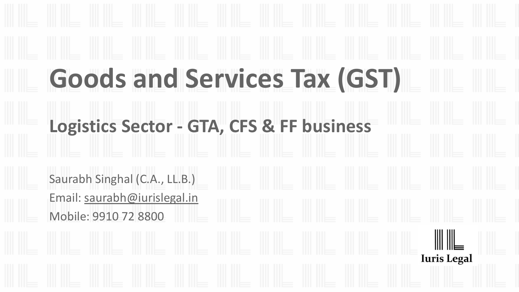# **Goods and Services Tax (GST) Logistics Sector - GTA, CFS & FF business** Saurabh Singhal (C.A., LL.B.) Email: saurabh@iurislegal.in Mobile: 9910 72 8800**Iuris Legal**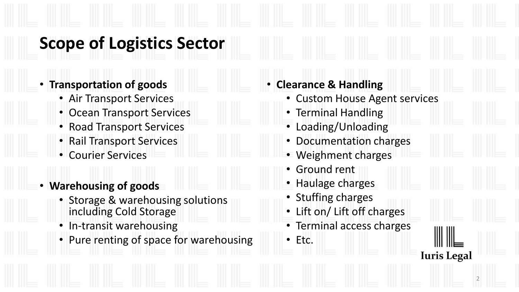# **Scope of Logistics Sector**

- **Transportation of goods** 
	- Air Transport Services
	- Ocean Transport Services
	- Road Transport Services
	- Rail Transport Services
	- Courier Services
- **Warehousing of goods**
	- Storage & warehousing solutions including Cold Storage
	- In-transit warehousing
	- Pure renting of space for warehousing

| <b>Custom House Agent services</b> |                    |
|------------------------------------|--------------------|
| • Terminal Handling                |                    |
| • Loading/Unloading                |                    |
| • Documentation charges            |                    |
| • Weighment charges                |                    |
| • Ground rent                      |                    |
| • Haulage charges                  |                    |
| • Stuffing charges                 |                    |
| • Lift on/ Lift off charges        |                    |
| • Terminal access charges          |                    |
| Etc.                               |                    |
|                                    | <b>Iuris Legal</b> |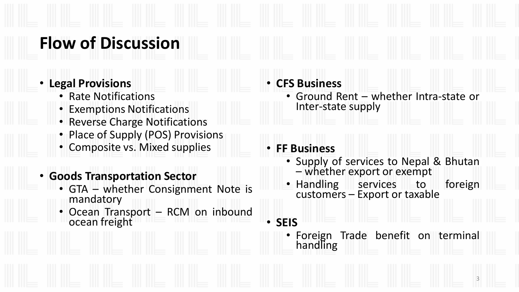## **Flow of Discussion**

- **Legal Provisions**
	- Rate Notifications
	- Exemptions Notifications
	- Reverse Charge Notifications
	- Place of Supply (POS) Provisions
	- Composite vs. Mixed supplies
- **Goods Transportation Sector**
	- GTA whether Consignment Note is mandatory
	- Ocean Transport RCM on inbound ocean freight

#### • **CFS Business**

• Ground Rent – whether Intra-state or Inter-state supply

#### • **FF Business**

- Supply of services to Nepal & Bhutan – whether export or exempt
- Handling services to foreign customers – Export or taxable
- **SEIS**
	- Foreign Trade benefit on terminal handling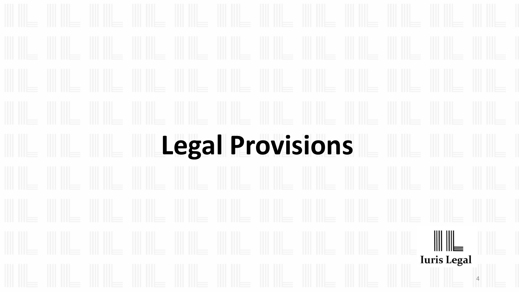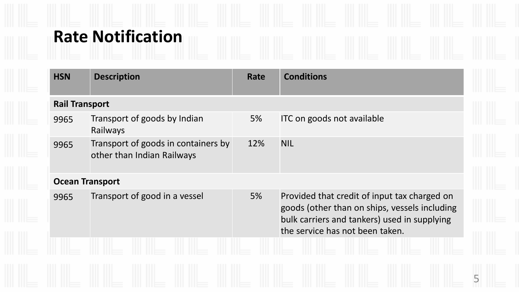# **Rate Notification**

| <b>HSN</b>             | <b>Description</b>                                                | Rate | <b>Conditions</b>                                                                                                                                                                |
|------------------------|-------------------------------------------------------------------|------|----------------------------------------------------------------------------------------------------------------------------------------------------------------------------------|
| <b>Rail Transport</b>  |                                                                   |      |                                                                                                                                                                                  |
| 9965                   | Transport of goods by Indian<br>Railways                          | 5%   | ITC on goods not available                                                                                                                                                       |
| 9965                   | Transport of goods in containers by<br>other than Indian Railways | 12%  | <b>NIL</b>                                                                                                                                                                       |
| <b>Ocean Transport</b> |                                                                   |      |                                                                                                                                                                                  |
| 9965                   | Transport of good in a vessel                                     | 5%   | Provided that credit of input tax charged on<br>goods (other than on ships, vessels including<br>bulk carriers and tankers) used in supplying<br>the service has not been taken. |
|                        |                                                                   |      |                                                                                                                                                                                  |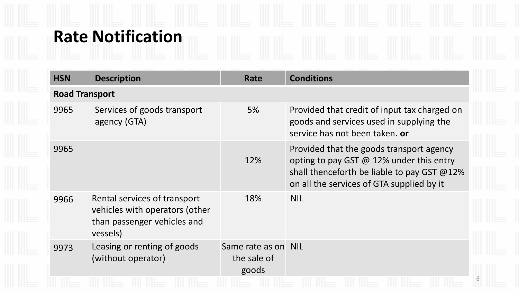# **Rate Notification**

| <b>HSN</b> | <b>Description</b>                                                                                        | Rate                                        | <b>Conditions</b>                                                                                                                                                                       |  |
|------------|-----------------------------------------------------------------------------------------------------------|---------------------------------------------|-----------------------------------------------------------------------------------------------------------------------------------------------------------------------------------------|--|
|            | <b>Road Transport</b>                                                                                     |                                             |                                                                                                                                                                                         |  |
| 9965       | Services of goods transport<br>agency (GTA)                                                               | 5%                                          | Provided that credit of input tax charged on<br>goods and services used in supplying the<br>service has not been taken, or                                                              |  |
| 9965       |                                                                                                           | 12%                                         | Provided that the goods transport agency<br>opting to pay GST $\omega$ 12% under this entry<br>shall thenceforth be liable to pay GST @12%<br>on all the services of GTA supplied by it |  |
| 9966       | Rental services of transport<br>vehicles with operators (other<br>than passenger vehicles and<br>vessels) | 18%                                         | <b>NIL</b>                                                                                                                                                                              |  |
| 9973       | Leasing or renting of goods<br>(without operator)                                                         | Same rate as on NIL<br>the sale of<br>goods |                                                                                                                                                                                         |  |
|            |                                                                                                           |                                             |                                                                                                                                                                                         |  |

6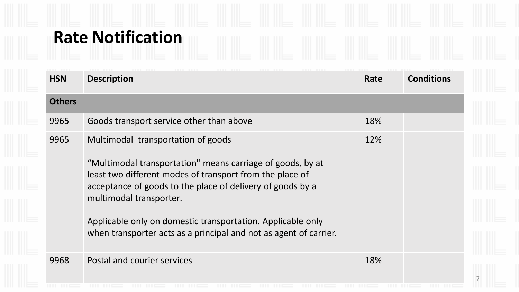## **Rate Notification**

| <b>Others</b><br>9965<br>9965 | <b>Description</b>                                                                                                                                                                                                                                                                                                                                                                        | Rate | <b>Conditions</b> |
|-------------------------------|-------------------------------------------------------------------------------------------------------------------------------------------------------------------------------------------------------------------------------------------------------------------------------------------------------------------------------------------------------------------------------------------|------|-------------------|
|                               |                                                                                                                                                                                                                                                                                                                                                                                           |      |                   |
|                               | Goods transport service other than above                                                                                                                                                                                                                                                                                                                                                  | 18%  |                   |
|                               | Multimodal transportation of goods<br>"Multimodal transportation" means carriage of goods, by at<br>least two different modes of transport from the place of<br>acceptance of goods to the place of delivery of goods by a<br>multimodal transporter.<br>Applicable only on domestic transportation. Applicable only<br>when transporter acts as a principal and not as agent of carrier. | 12%  |                   |
| 9968                          | Postal and courier services                                                                                                                                                                                                                                                                                                                                                               | 18%  |                   |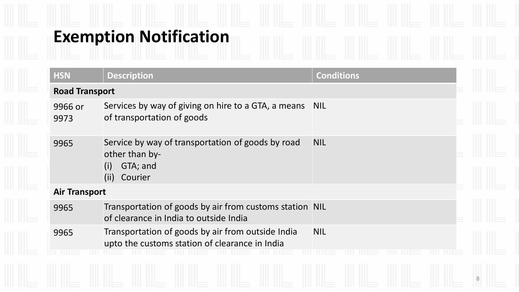# **Exemption Notification**

| <b>HSN</b>            | <b>Description</b>                                                                                        | <b>Conditions</b> |   |
|-----------------------|-----------------------------------------------------------------------------------------------------------|-------------------|---|
| <b>Road Transport</b> |                                                                                                           |                   |   |
| 9966 or<br>9973       | Services by way of giving on hire to a GTA, a means NIL<br>of transportation of goods                     |                   |   |
| 9965                  | Service by way of transportation of goods by road<br>other than by-<br>GTA; and<br>(i)<br>(ii)<br>Courier | <b>NIL</b>        |   |
| <b>Air Transport</b>  |                                                                                                           |                   |   |
| 9965                  | Transportation of goods by air from customs station NIL<br>of clearance in India to outside India         |                   |   |
| 9965                  | Transportation of goods by air from outside India<br>upto the customs station of clearance in India       | <b>NIL</b>        |   |
|                       |                                                                                                           |                   | 8 |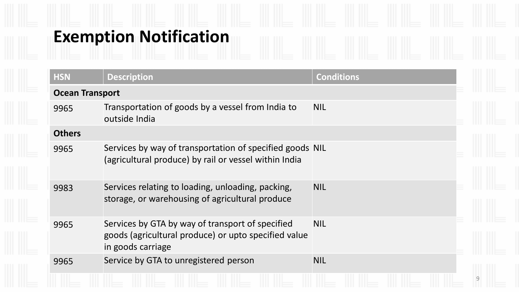## **Exemption Notification**

| <b>HSN</b>             | <b>Description</b>                                                                                                            | <b>Conditions</b> |   |
|------------------------|-------------------------------------------------------------------------------------------------------------------------------|-------------------|---|
| <b>Ocean Transport</b> |                                                                                                                               |                   |   |
| 9965                   | Transportation of goods by a vessel from India to<br>outside India                                                            | <b>NIL</b>        |   |
| <b>Others</b>          |                                                                                                                               |                   |   |
| 9965                   | Services by way of transportation of specified goods NIL<br>(agricultural produce) by rail or vessel within India             |                   |   |
| 9983                   | Services relating to loading, unloading, packing,<br>storage, or warehousing of agricultural produce                          | <b>NIL</b>        |   |
| 9965                   | Services by GTA by way of transport of specified<br>goods (agricultural produce) or upto specified value<br>in goods carriage | <b>NIL</b>        |   |
| 9965                   | Service by GTA to unregistered person                                                                                         | <b>NIL</b>        |   |
|                        |                                                                                                                               |                   | 9 |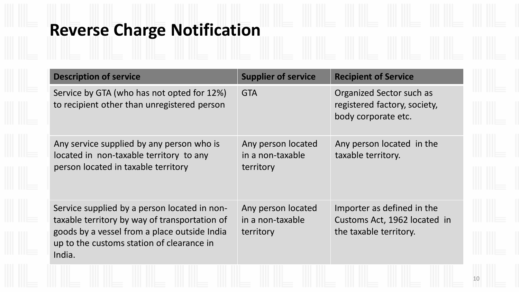#### **Reverse Charge Notification**

| <b>Description of service</b>                                                                                                                                                                        | <b>Supplier of service</b>                          | <b>Recipient of Service</b>                                                          |
|------------------------------------------------------------------------------------------------------------------------------------------------------------------------------------------------------|-----------------------------------------------------|--------------------------------------------------------------------------------------|
| Service by GTA (who has not opted for 12%)<br>to recipient other than unregistered person                                                                                                            | <b>GTA</b>                                          | Organized Sector such as<br>registered factory, society,<br>body corporate etc.      |
| Any service supplied by any person who is<br>located in non-taxable territory to any<br>person located in taxable territory                                                                          | Any person located<br>in a non-taxable<br>territory | Any person located in the<br>taxable territory.                                      |
| Service supplied by a person located in non-<br>taxable territory by way of transportation of<br>goods by a vessel from a place outside India<br>up to the customs station of clearance in<br>India. | Any person located<br>in a non-taxable<br>territory | Importer as defined in the<br>Customs Act, 1962 located in<br>the taxable territory. |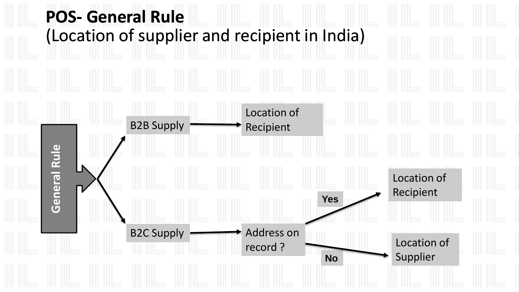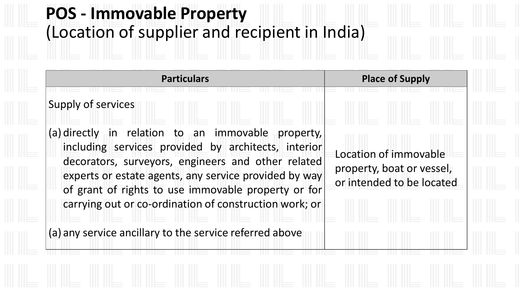### **POS - Immovable Property** (Location of supplier and recipient in India)

**Particulars Particulars Place of Supply** 

Supply of services (a) directly in relation to an immovable property, including services provided by architects, interior decorators, surveyors, engineers and other related experts or estate agents, any service provided by way of grant of rights to use immovable property or for carrying out or co-ordination of construction work; or Location of immovable property, boat or vessel, or intended to be located

(a) any service ancillary to the service referred above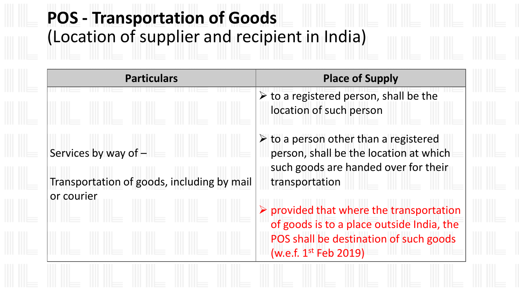# **POS - Transportation of Goods** (Location of supplier and recipient in India)

| <b>Particulars</b>                                                   | <b>Place of Supply</b>                                                                                                                                                       |
|----------------------------------------------------------------------|------------------------------------------------------------------------------------------------------------------------------------------------------------------------------|
|                                                                      | $\triangleright$ to a registered person, shall be the<br>location of such person                                                                                             |
| Services by way of $-$<br>Transportation of goods, including by mail | $\triangleright$ to a person other than a registered<br>person, shall be the location at which<br>such goods are handed over for their<br>transportation                     |
|                                                                      |                                                                                                                                                                              |
| or courier                                                           | $\triangleright$ provided that where the transportation<br>of goods is to a place outside India, the<br>POS shall be destination of such goods<br>(w.e.f. $1^{st}$ Feb 2019) |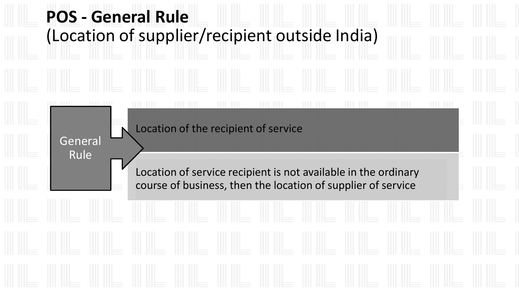# Location of the recipient of service Location of service recipient is not available in the ordinary course of business, then the location of supplier of service General Rule **POS - General Rule** (Location of supplier/recipient outside India)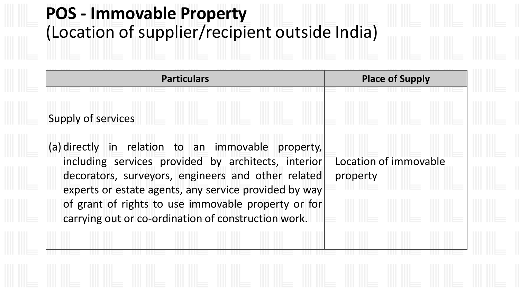### **POS - Immovable Property** (Location of supplier/recipient outside India)

**Particulars Particulars Place of Supply** Supply of services (a) directly in relation to an immovable property, including services provided by architects, interior decorators, surveyors, engineers and other related experts or estate agents, any service provided by way of grant of rights to use immovable property or for carrying out or co-ordination of construction work. Location of immovable property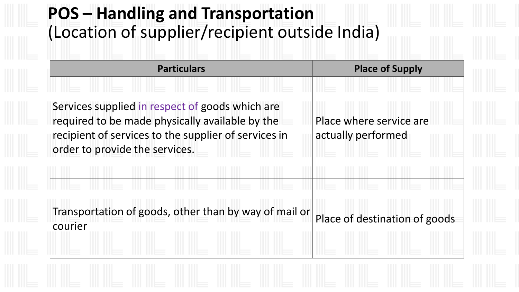### **POS – Handling and Transportation** (Location of supplier/recipient outside India)

Services supplied in respect of goods which are required to be made physically available by the recipient of services to the supplier of services in order to provide the services.

Place where service are actually performed

Transportation of goods, other than by way of mail or courier Courier Cours, build way believe that by a place of destination of goods

**Particulars Particulars Place of Supply**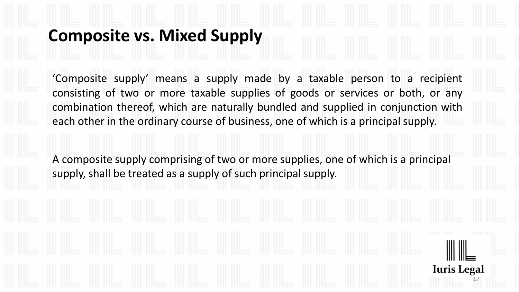#### **Composite vs. Mixed Supply**

'Composite supply' means a supply made by a taxable person to a recipient consisting of two or more taxable supplies of goods or services or both, or any combination thereof, which are naturally bundled and supplied in conjunction with each other in the ordinary course of business, one of which is a principal supply.

A composite supply comprising of two or more supplies, one of which is a principal supply, shall be treated as a supply of such principal supply.

17

**Iuris Legal**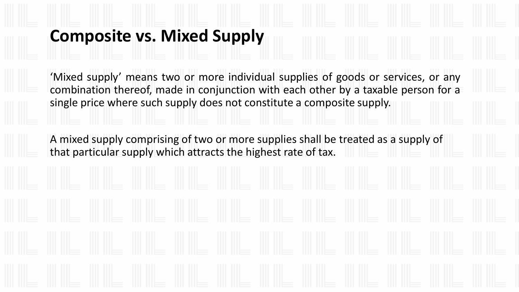#### **Composite vs. Mixed Supply**

'Mixed supply' means two or more individual supplies of goods or services, or any combination thereof, made in conjunction with each other by a taxable person for a single price where such supply does not constitute a composite supply.

A mixed supply comprising of two or more supplies shall be treated as a supply of that particular supply which attracts the highest rate of tax.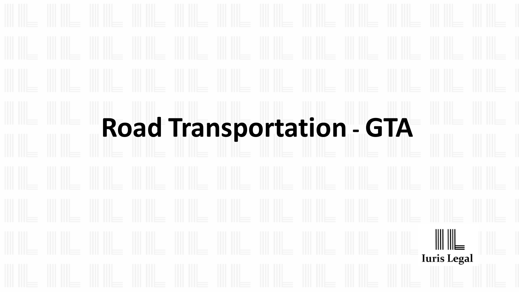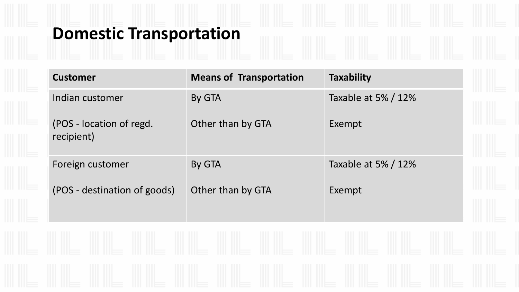## **Domestic Transportation**

| <b>Customer</b>                        | <b>Means of Transportation</b> | <b>Taxability</b>   |  |
|----------------------------------------|--------------------------------|---------------------|--|
| Indian customer                        | By GTA                         | Taxable at 5% / 12% |  |
| (POS - location of regd.<br>recipient) | Other than by GTA              | Exempt              |  |
| Foreign customer                       | By GTA                         | Taxable at 5% / 12% |  |
| (POS - destination of goods)           | Other than by GTA              | Exempt              |  |
|                                        |                                |                     |  |
|                                        |                                |                     |  |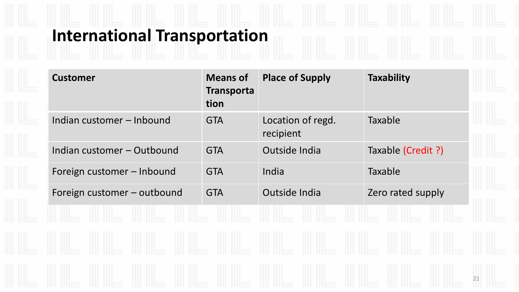## **International Transportation**

| <b>Customer</b>             | <b>Means of</b><br><b>Transporta</b><br>tion | <b>Place of Supply</b>         | <b>Taxability</b>  |
|-----------------------------|----------------------------------------------|--------------------------------|--------------------|
| Indian customer - Inbound   | <b>GTA</b>                                   | Location of regd.<br>recipient | Taxable            |
| Indian customer - Outbound  | <b>GTA</b>                                   | Outside India                  | Taxable (Credit ?) |
| Foreign customer - Inbound  | <b>GTA</b>                                   | India                          | Taxable            |
| Foreign customer - outbound | <b>GTA</b>                                   | Outside India                  | Zero rated supply  |
|                             |                                              |                                |                    |
|                             |                                              |                                |                    |
|                             |                                              |                                |                    |
|                             |                                              |                                | 21                 |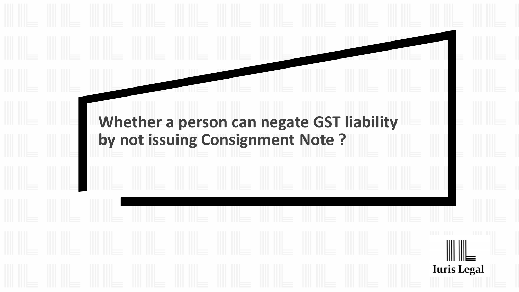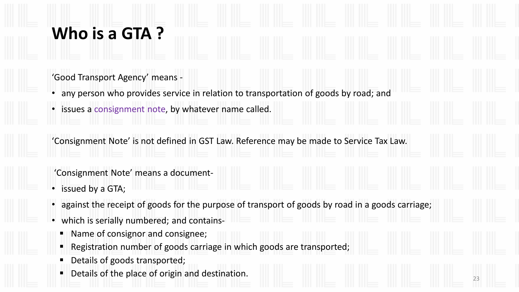#### **Who is a GTA ?**

'Good Transport Agency' means -

- any person who provides service in relation to transportation of goods by road; and
- issues a consignment note, by whatever name called.

'Consignment Note' is not defined in GST Law. Reference may be made to Service Tax Law.

'Consignment Note' means a document-

- issued by a GTA;
- against the receipt of goods for the purpose of transport of goods by road in a goods carriage;
- which is serially numbered; and contains-
	- Name of consignor and consignee;
	- Registration number of goods carriage in which goods are transported;
	- Details of goods transported;
	- Details of the place of origin and destination.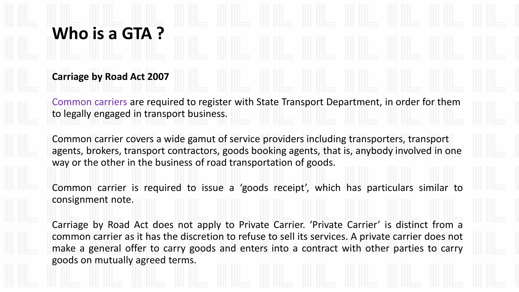#### **Who is a GTA ?**

#### **Carriage by Road Act 2007**

Common carriers are required to register with State Transport Department, in order for them to legally engaged in transport business.

Common carrier covers a wide gamut of service providers including transporters, transport agents, brokers, transport contractors, goods booking agents, that is, anybody involved in one way or the other in the business of road transportation of goods.

Common carrier is required to issue a 'goods receipt', which has particulars similar to consignment note.

Carriage by Road Act does not apply to Private Carrier. 'Private Carrier' is distinct from a common carrier as it has the discretion to refuse to sell its services. A private carrier does not make a general offer to carry goods and enters into a contract with other parties to carry goods on mutually agreed terms.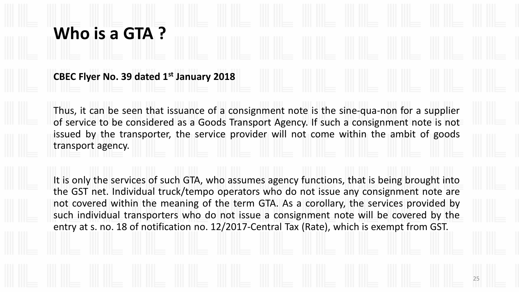#### **Who is a GTA ?**

**CBEC Flyer No. 39 dated 1st January 2018**

Thus, it can be seen that issuance of a consignment note is the sine-qua-non for a supplier of service to be considered as a Goods Transport Agency. If such a consignment note is not issued by the transporter, the service provider will not come within the ambit of goods transport agency.

It is only the services of such GTA, who assumes agency functions, that is being brought into the GST net. Individual truck/tempo operators who do not issue any consignment note are not covered within the meaning of the term GTA. As a corollary, the services provided by such individual transporters who do not issue a consignment note will be covered by the entry at s. no. 18 of notification no. 12/2017-Central Tax (Rate), which is exempt from GST.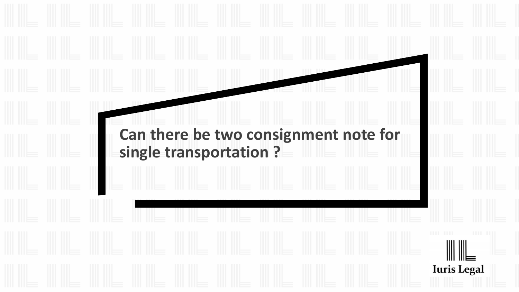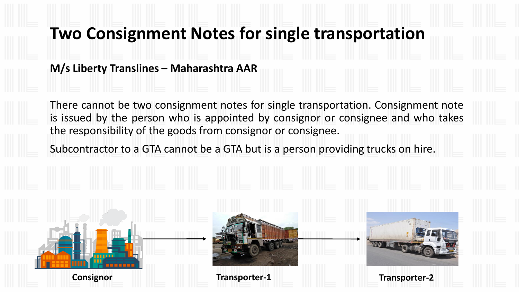#### **Two Consignment Notes for single transportation**

**M/s Liberty Translines – Maharashtra AAR**

There cannot be two consignment notes for single transportation. Consignment note is issued by the person who is appointed by consignor or consignee and who takes the responsibility of the goods from consignor or consignee.

Subcontractor to a GTA cannot be a GTA but is a person providing trucks on hire.





**Consignor Transporter-1 Transporter-2**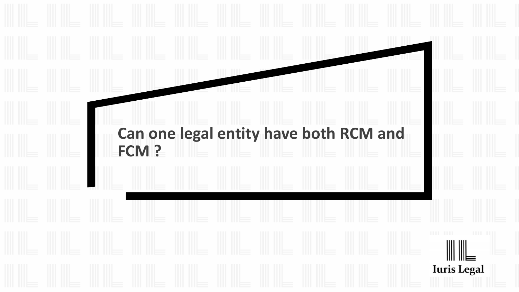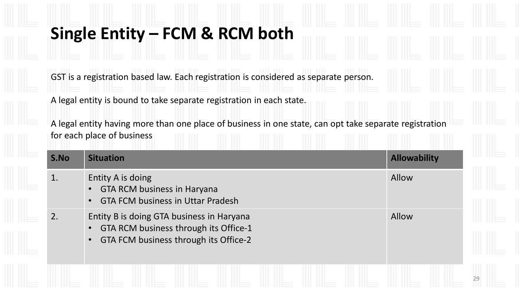#### **Single Entity – FCM & RCM both**

GST is a registration based law. Each registration is considered as separate person.

A legal entity is bound to take separate registration in each state.

A legal entity having more than one place of business in one state, can opt take separate registration for each place of business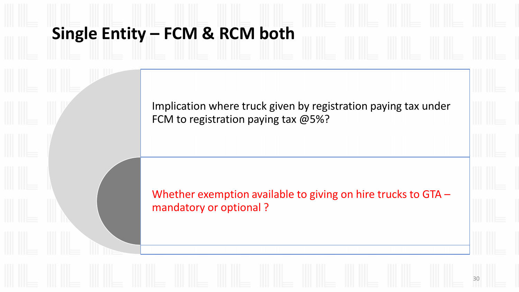#### **Single Entity – FCM & RCM both**

Implication where truck given by registration paying tax under FCM to registration paying tax @5%?

Whether exemption available to giving on hire trucks to GTA – mandatory or optional ?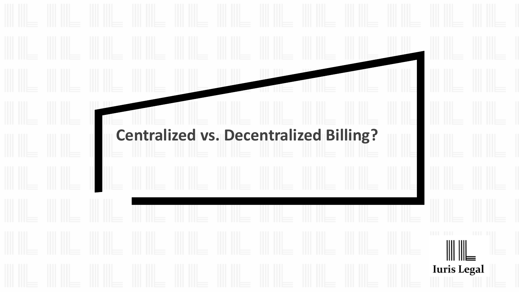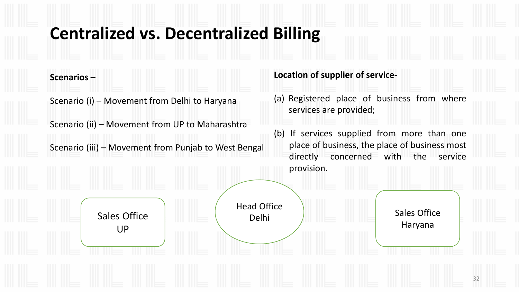#### **Centralized vs. Decentralized Billing**

**Scenarios –**

Scenario (i) – Movement from Delhi to Haryana

UP

Scenario (ii) – Movement from UP to Maharashtra

Scenario (iii) – Movement from Punjab to West Bengal

Sales Office **Delhi Delhi** 

#### **Location of supplier of service-**

Head Office

(a) Registered place of business from where services are provided;

(b) If services supplied from more than one place of business, the place of business most directly concerned with the service provision.

Sales Office

Haryana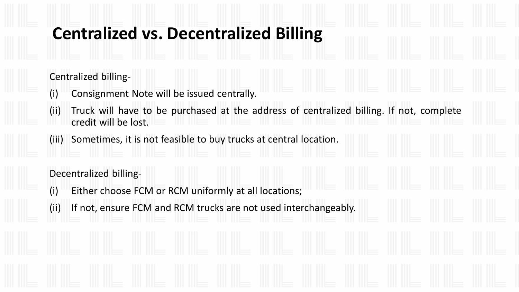#### **Centralized vs. Decentralized Billing**

#### Centralized billing-

- (i) Consignment Note will be issued centrally.
- (ii) Truck will have to be purchased at the address of centralized billing. If not, complete credit will be lost.
- (iii) Sometimes, it is not feasible to buy trucks at central location.

#### Decentralized billing-

- (i) Either choose FCM or RCM uniformly at all locations;
- (ii) If not, ensure FCM and RCM trucks are not used interchangeably.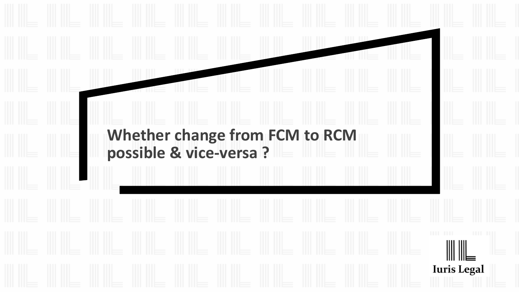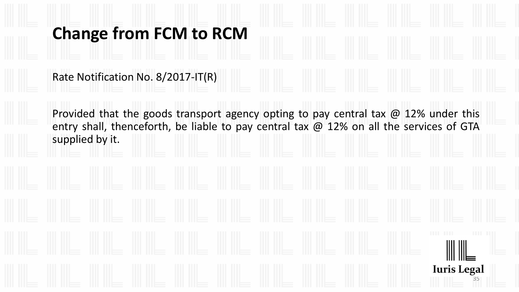#### **Change from FCM to RCM**

Rate Notification No. 8/2017-IT(R)

Provided that the goods transport agency opting to pay central tax  $\omega$  12% under this entry shall, thenceforth, be liable to pay central tax @ 12% on all the services of GTA supplied by it.

35

**Iuris Legal**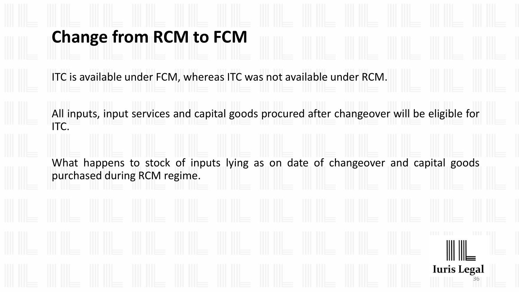# **Change from RCM to FCM**

ITC is available under FCM, whereas ITC was not available under RCM.

All inputs, input services and capital goods procured after changeover will be eligible for ITC.

What happens to stock of inputs lying as on date of changeover and capital goods purchased during RCM regime.

36

**Iuris Legal**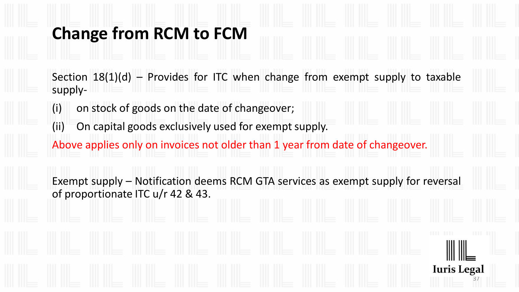### **Change from RCM to FCM**

Section  $18(1)(d)$  – Provides for ITC when change from exempt supply to taxable supply-

- (i) on stock of goods on the date of changeover;
- (ii) On capital goods exclusively used for exempt supply.
- Above applies only on invoices not older than 1 year from date of changeover.

Exempt supply – Notification deems RCM GTA services as exempt supply for reversal of proportionate ITC u/r 42 & 43.

37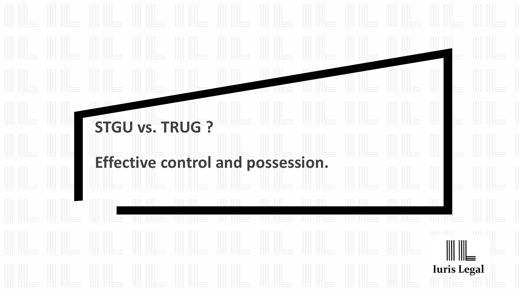# **STGU vs. TRUG ? Effective control and possession.Iuris Legal**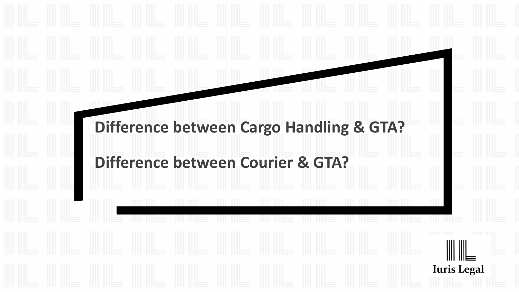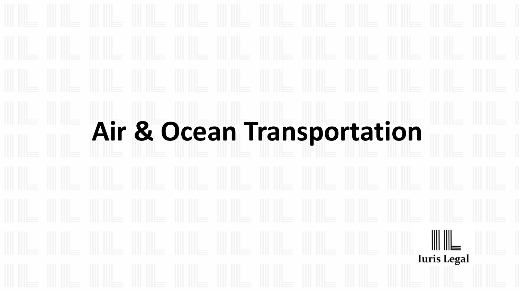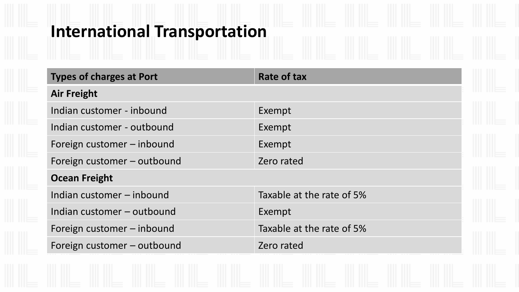### **International Transportation**

| <b>Types of charges at Port</b> | <b>Rate of tax</b>        |
|---------------------------------|---------------------------|
| <b>Air Freight</b>              |                           |
| Indian customer - inbound       | Exempt                    |
| Indian customer - outbound      | Exempt                    |
| Foreign customer – inbound      | Exempt                    |
| Foreign customer – outbound     | Zero rated                |
| <b>Ocean Freight</b>            |                           |
| Indian customer - inbound       | Taxable at the rate of 5% |
| Indian customer - outbound      | Exempt                    |
| Foreign customer – inbound      | Taxable at the rate of 5% |
| Foreign customer - outbound     | Zero rated                |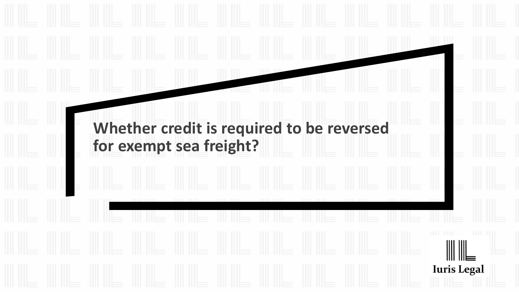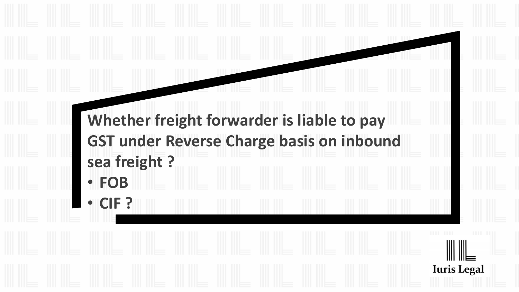**Whether freight forwarder is liable to pay GST under Reverse Charge basis on inbound sea freight ?** • **FOB**

**Iuris Legal** 

• **CIF ?**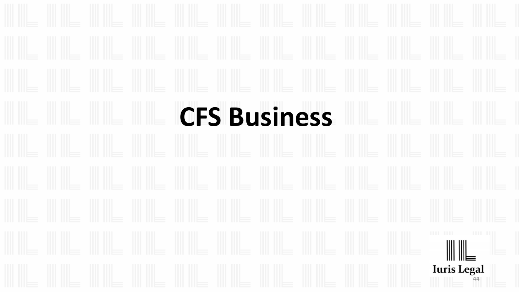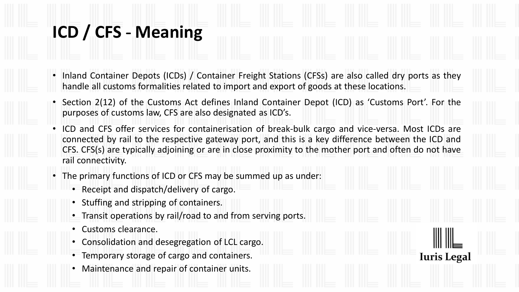### **ICD / CFS** - **Meaning**

- Inland Container Depots (ICDs) / Container Freight Stations (CFSs) are also called dry ports as they handle all customs formalities related to import and export of goods at these locations.
- Section 2(12) of the Customs Act defines Inland Container Depot (ICD) as 'Customs Port'. For the purposes of customs law, CFS are also designated as ICD's.
- ICD and CFS offer services for containerisation of break-bulk cargo and vice-versa. Most ICDs are connected by rail to the respective gateway port, and this is a key difference between the ICD and CFS. CFS(s) are typically adjoining or are in close proximity to the mother port and often do not have rail connectivity.

- The primary functions of ICD or CFS may be summed up as under:
	- Receipt and dispatch/delivery of cargo.
	- Stuffing and stripping of containers.
	- Transit operations by rail/road to and from serving ports.
	- Customs clearance.
	- Consolidation and desegregation of LCL cargo.
	- Temporary storage of cargo and containers.
	- Maintenance and repair of container units.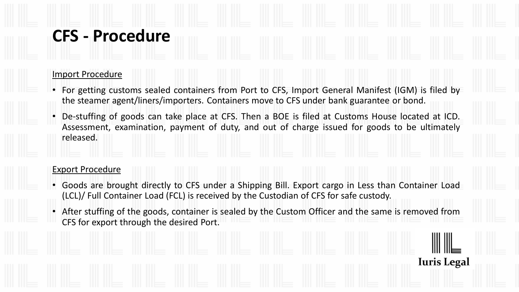### **CFS - Procedure**

### Import Procedure

- For getting customs sealed containers from Port to CFS, Import General Manifest (IGM) is filed by the steamer agent/liners/importers. Containers move to CFS under bank guarantee or bond.
- De-stuffing of goods can take place at CFS. Then a BOE is filed at Customs House located at ICD. Assessment, examination, payment of duty, and out of charge issued for goods to be ultimately released.

#### Export Procedure

- Goods are brought directly to CFS under a Shipping Bill. Export cargo in Less than Container Load (LCL)/ Full Container Load (FCL) is received by the Custodian of CFS for safe custody.
- After stuffing of the goods, container is sealed by the Custom Officer and the same is removed from CFS for export through the desired Port.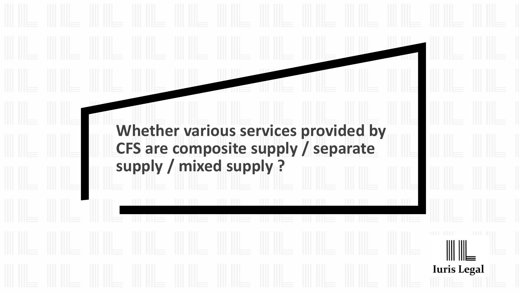### **Whether various services provided by CFS are composite supply / separate supply / mixed supply ?**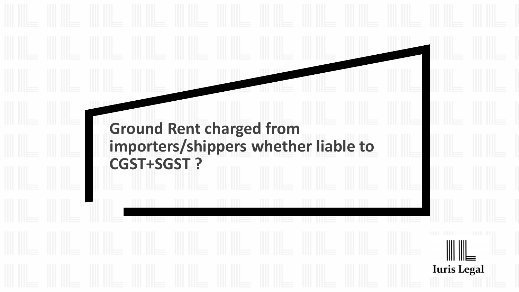### **Ground Rent charged from importers/shippers whether liable to CGST+SGST ?**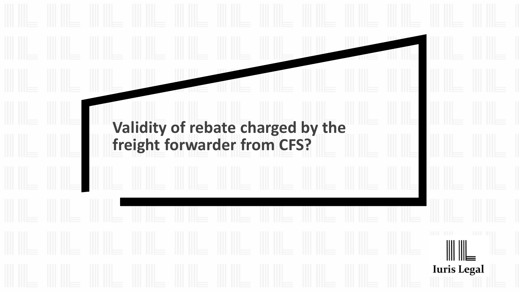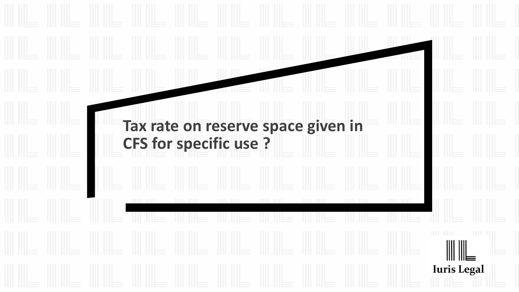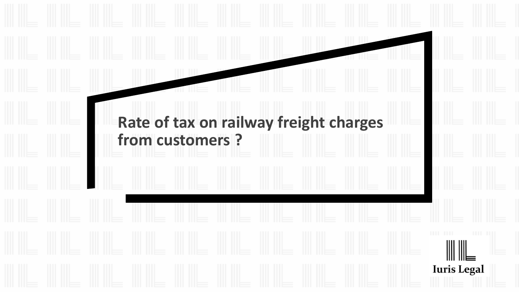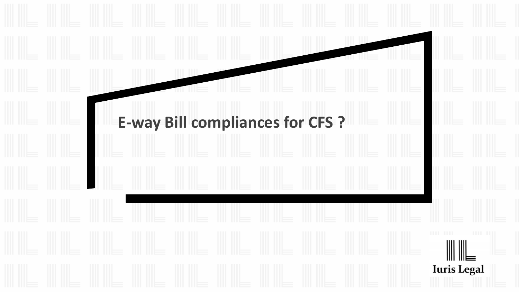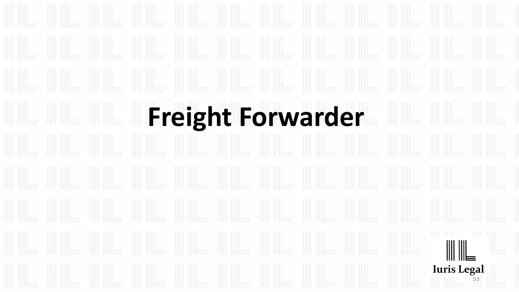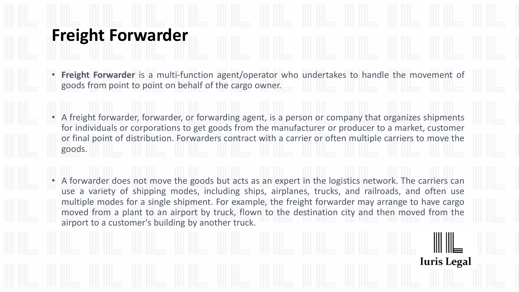### **Freight Forwarder**

- **Freight Forwarder** is a multi-function agent/operator who undertakes to handle the movement of goods from point to point on behalf of the cargo owner.
- A freight forwarder, forwarder, or forwarding agent, is a person or company that organizes shipments for individuals or corporations to get goods from the manufacturer or producer to a market, customer or final point of distribution. Forwarders contract with a carrier or often multiple carriers to move the goods.
- A forwarder does not move the goods but acts as an expert in the logistics network. The carriers can use a variety of shipping modes, including ships, airplanes, trucks, and railroads, and often use multiple modes for a single shipment. For example, the freight forwarder may arrange to have cargo moved from a plant to an airport by truck, flown to the destination city and then moved from the airport to a customer's building by another truck.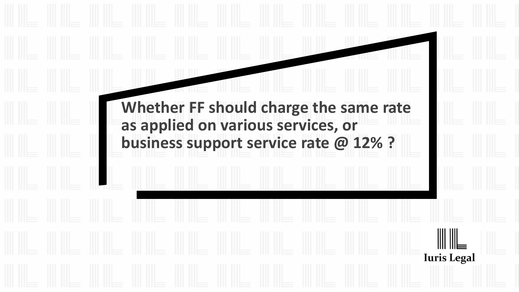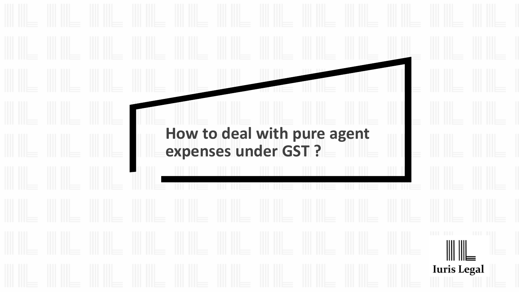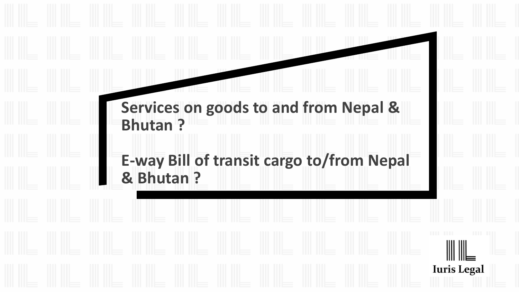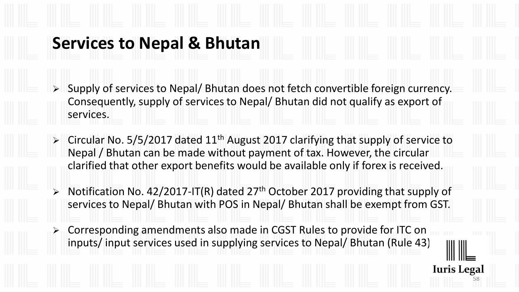### **Services to Nepal & Bhutan**

- ➢ Supply of services to Nepal/ Bhutan does not fetch convertible foreign currency. Consequently, supply of services to Nepal/ Bhutan did not qualify as export of services.
- $\triangleright$  Circular No. 5/5/2017 dated 11<sup>th</sup> August 2017 clarifying that supply of service to Nepal / Bhutan can be made without payment of tax. However, the circular clarified that other export benefits would be available only if forex is received.
- $\triangleright$  Notification No. 42/2017-IT(R) dated 27<sup>th</sup> October 2017 providing that supply of services to Nepal/ Bhutan with POS in Nepal/ Bhutan shall be exempt from GST.

58

**Iuris Legal** 

➢ Corresponding amendments also made in CGST Rules to provide for ITC on inputs/ input services used in supplying services to Nepal/ Bhutan (Rule 43)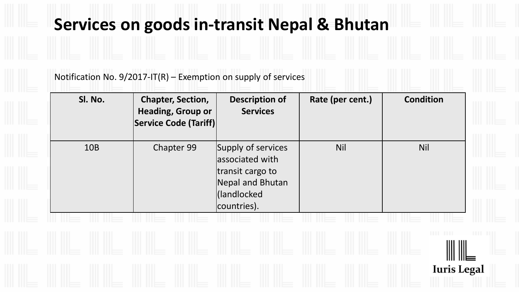### **Services on goods in-transit Nepal & Bhutan**

Notification No. 9/2017-IT(R) – Exemption on supply of services

| SI. No.    | <b>Chapter, Section,</b><br><b>Heading, Group or</b><br>Service Code (Tariff) | <b>Description of</b><br><b>Services</b>                                                                    | Rate (per cent.) | <b>Condition</b>   |
|------------|-------------------------------------------------------------------------------|-------------------------------------------------------------------------------------------------------------|------------------|--------------------|
| <b>10B</b> | Chapter 99                                                                    | Supply of services<br>associated with<br>transit cargo to<br>Nepal and Bhutan<br>(landlocked<br>countries). | <b>Nil</b>       | <b>Nil</b>         |
|            |                                                                               |                                                                                                             |                  |                    |
|            |                                                                               |                                                                                                             |                  |                    |
|            |                                                                               |                                                                                                             |                  | <b>Iuris Legal</b> |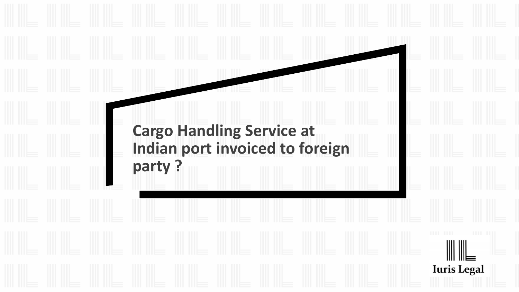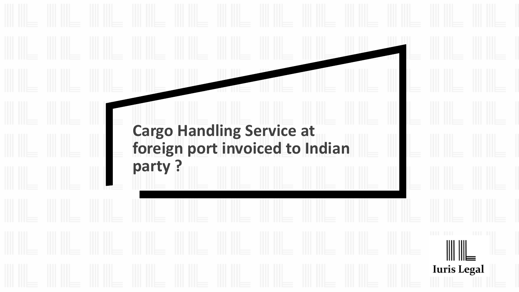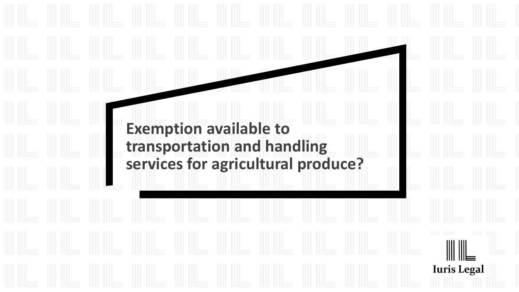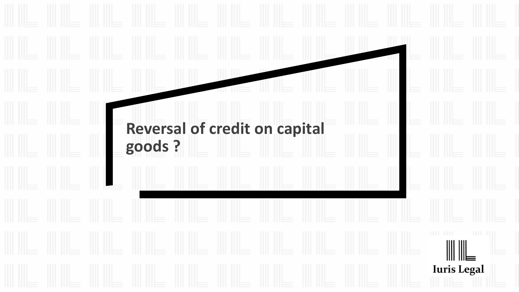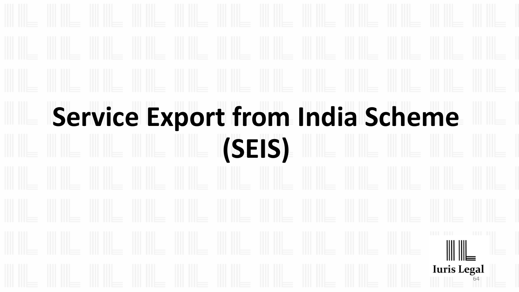# **Service Export from India Scheme (SEIS)** 64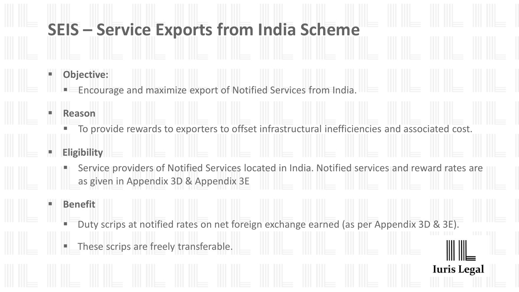### **SEIS – Service Exports from India Scheme**

- **Objective:** 
	- Encourage and maximize export of Notified Services from India.
- **Reason** 
	- To provide rewards to exporters to offset infrastructural inefficiencies and associated cost.
- **Eligibility** 
	- Service providers of Notified Services located in India. Notified services and reward rates are as given in Appendix 3D & Appendix 3E
	- **Benefit** 
		- Duty scrips at notified rates on net foreign exchange earned (as per Appendix 3D & 3E).

**Iuris Legal** 

These scrips are freely transferable.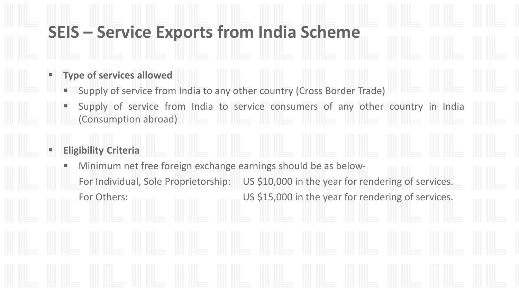### **SEIS – Service Exports from India Scheme**

### **Type of services allowed**

- Supply of service from India to any other country (Cross Border Trade)
- Supply of service from India to service consumers of any other country in India (Consumption abroad)

### **Eligibility Criteria**

Minimum net free foreign exchange earnings should be as below-For Individual, Sole Proprietorship: US \$10,000 in the year for rendering of services. For Others: US \$15,000 in the year for rendering of services.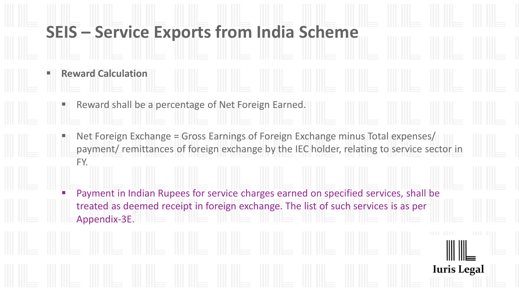### **SEIS – Service Exports from India Scheme**

- **Reward Calculation** 
	- Reward shall be a percentage of Net Foreign Earned.
	- Net Foreign Exchange = Gross Earnings of Foreign Exchange minus Total expenses/ payment/ remittances of foreign exchange by the IEC holder, relating to service sector in FY.
		- Payment in Indian Rupees for service charges earned on specified services, shall be treated as deemed receipt in foreign exchange. The list of such services is as per Appendix-3E.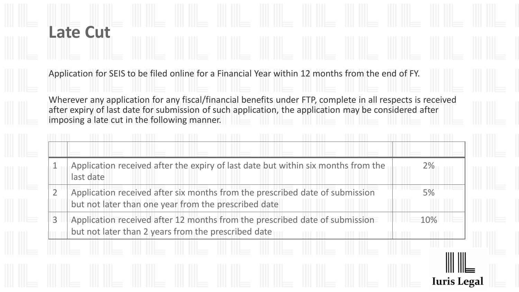# **Late Cut**

Application for SEIS to be filed online for a Financial Year within 12 months from the end of FY.

Wherever any application for any fiscal/financial benefits under FTP, complete in all respects is received after expiry of last date for submission of such application, the application may be considered after imposing a late cut in the following manner.

|                | Application received after the expiry of last date but within six months from the<br>last date                                       | 2%  |
|----------------|--------------------------------------------------------------------------------------------------------------------------------------|-----|
|                | Application received after six months from the prescribed date of submission<br>but not later than one year from the prescribed date | 5%  |
| $\overline{3}$ | Application received after 12 months from the prescribed date of submission<br>but not later than 2 years from the prescribed date   | 10% |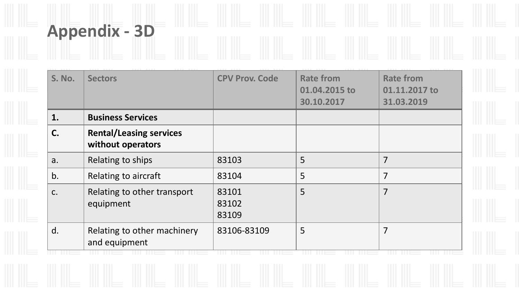| <b>S. No.</b> | <b>Sectors</b>                                      | <b>CPV Prov. Code</b>   | <b>Rate from</b><br>01.04.2015 to<br>30.10.2017 | <b>Rate from</b><br>01.11.2017 to<br>31.03.2019 |
|---------------|-----------------------------------------------------|-------------------------|-------------------------------------------------|-------------------------------------------------|
| 1.            | <b>Business Services</b>                            |                         |                                                 |                                                 |
| C.            | <b>Rental/Leasing services</b><br>without operators |                         |                                                 |                                                 |
| a.            | Relating to ships                                   | 83103                   | 5                                               | 7                                               |
| b.            | Relating to aircraft                                | 83104                   | 5                                               | 7                                               |
| C.            | Relating to other transport<br>equipment            | 83101<br>83102<br>83109 | 5                                               | 7                                               |
| d.            | Relating to other machinery<br>and equipment        | 83106-83109             | 5                                               | 7                                               |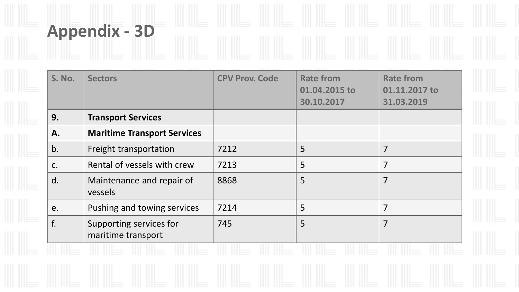| <b>S. No.</b> | <b>Sectors</b>                                | <b>CPV Prov. Code</b> | <b>Rate from</b><br>01.04.2015 to<br>30.10.2017 | <b>Rate from</b><br>01.11.2017 to<br>31.03.2019 |
|---------------|-----------------------------------------------|-----------------------|-------------------------------------------------|-------------------------------------------------|
| 9.            | <b>Transport Services</b>                     |                       |                                                 |                                                 |
| А.            | <b>Maritime Transport Services</b>            |                       |                                                 |                                                 |
| b.            | Freight transportation                        | 7212                  | 5                                               | $\overline{7}$                                  |
| $C_{\bullet}$ | Rental of vessels with crew                   | 7213                  | 5                                               | $\overline{7}$                                  |
| d.            | Maintenance and repair of<br>vessels          | 8868                  | 5                                               | $\overline{7}$                                  |
| e.            | Pushing and towing services                   | 7214                  | 5                                               | $\overline{7}$                                  |
| f.            | Supporting services for<br>maritime transport | 745                   | 5                                               | $\overline{7}$                                  |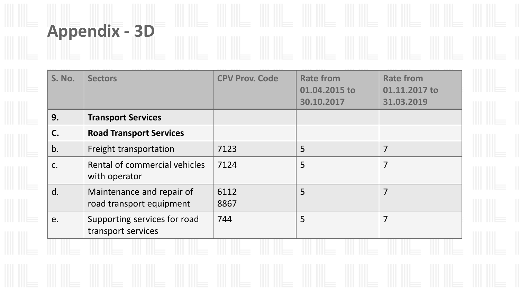| S. No. | <b>Sectors</b>                                        | <b>CPV Prov. Code</b> | <b>Rate from</b><br>01.04.2015 to<br>30.10.2017 | <b>Rate from</b><br>01.11.2017 to<br>31.03.2019 |
|--------|-------------------------------------------------------|-----------------------|-------------------------------------------------|-------------------------------------------------|
| 9.     | <b>Transport Services</b>                             |                       |                                                 |                                                 |
| C.     | <b>Road Transport Services</b>                        |                       |                                                 |                                                 |
| b.     | Freight transportation                                | 7123                  | 5                                               | $\overline{7}$                                  |
| C.     | Rental of commercial vehicles<br>with operator        | 7124                  | 5                                               | $\overline{7}$                                  |
| d.     | Maintenance and repair of<br>road transport equipment | 6112<br>8867          | 5                                               | $\overline{7}$                                  |
| e.     | Supporting services for road<br>transport services    | 744                   | 5                                               | $\overline{7}$                                  |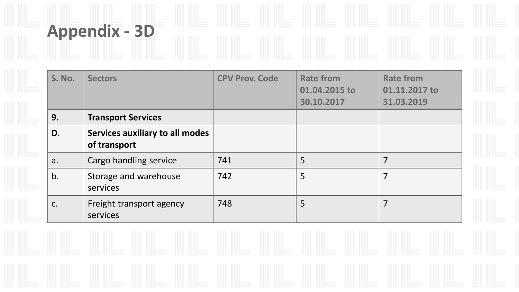| <b>S. No.</b> | <b>Sectors</b>                                  | <b>CPV Prov. Code</b> | <b>Rate from</b><br>01.04.2015 to<br>30.10.2017 | <b>Rate from</b><br>01.11.2017 to<br>31.03.2019 |
|---------------|-------------------------------------------------|-----------------------|-------------------------------------------------|-------------------------------------------------|
| 9.            | <b>Transport Services</b>                       |                       |                                                 |                                                 |
| D.            | Services auxiliary to all modes<br>of transport |                       |                                                 |                                                 |
| a.            | Cargo handling service                          | 741                   | 5                                               | $\overline{7}$                                  |
| b.            | Storage and warehouse<br>services               | 742                   | 5                                               | $\overline{7}$                                  |
| C.            | Freight transport agency<br>services            | 748                   | 5                                               | 7                                               |

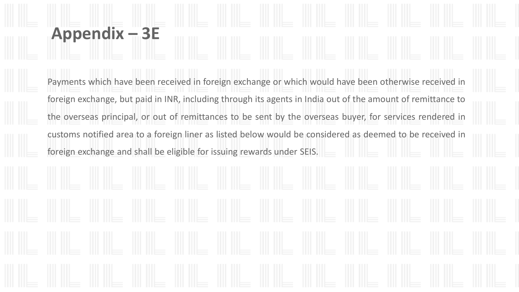## **Appendix – 3E**

Payments which have been received in foreign exchange or which would have been otherwise received in foreign exchange, but paid in INR, including through its agents in India out of the amount of remittance to the overseas principal, or out of remittances to be sent by the overseas buyer, for services rendered in customs notified area to a foreign liner as listed below would be considered as deemed to be received in foreign exchange and shall be eligible for issuing rewards under SEIS.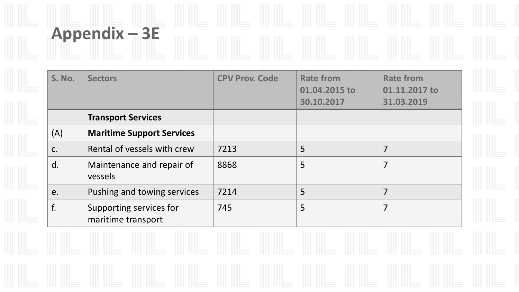## **Appendix – 3E**

| <b>S. No.</b> | <b>Sectors</b>                                | <b>CPV Prov. Code</b> | <b>Rate from</b><br>01.04.2015 to<br>30.10.2017 | <b>Rate from</b><br>01.11.2017 to<br>31.03.2019 |
|---------------|-----------------------------------------------|-----------------------|-------------------------------------------------|-------------------------------------------------|
|               | <b>Transport Services</b>                     |                       |                                                 |                                                 |
| (A)           | <b>Maritime Support Services</b>              |                       |                                                 |                                                 |
| $C$ .         | Rental of vessels with crew                   | 7213                  | 5                                               | 7                                               |
| d.            | Maintenance and repair of<br>vessels          | 8868                  | 5                                               | 7                                               |
| e.            | Pushing and towing services                   | 7214                  | 5                                               | 7                                               |
| f.            | Supporting services for<br>maritime transport | 745                   | 5                                               | 7                                               |